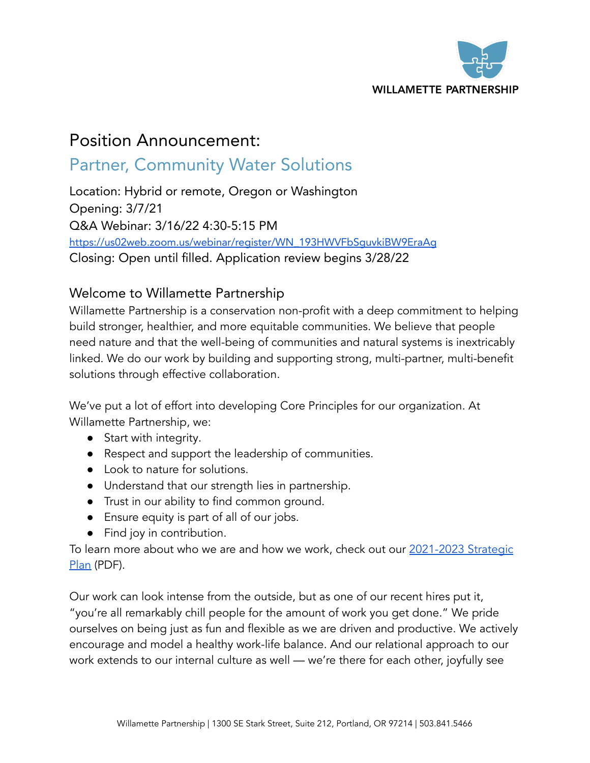

# Position Announcement:

## Partner, Community Water Solutions

Location: Hybrid or remote, Oregon or Washington Opening: 3/7/21 Q&A Webinar: 3/16/22 4:30-5:15 PM [https://us02web.zoom.us/webinar/register/WN\\_193HWVFbSguvkiBW9EraAg](https://us02web.zoom.us/webinar/register/WN_193HWVFbSguvkiBW9EraAg) Closing: Open until filled. Application review begins 3/28/22

## Welcome to Willamette Partnership

Willamette Partnership is a conservation non-profit with a deep commitment to helping build stronger, healthier, and more equitable communities. We believe that people need nature and that the well-being of communities and natural systems is inextricably linked. We do our work by building and supporting strong, multi-partner, multi-benefit solutions through effective collaboration.

We've put a lot of effort into developing Core Principles for our organization. At Willamette Partnership, we:

- Start with integrity.
- Respect and support the leadership of communities.
- Look to nature for solutions.
- Understand that our strength lies in partnership.
- Trust in our ability to find common ground.
- Ensure equity is part of all of our jobs.
- Find joy in contribution.

To learn more about who we are and how we work, check out our [2021-2023](https://willamettepartnership.org/wp-content/uploads/2021/11/2021-2023-Strategic-Plan_FINAL_reduced.pdf) Strategic [Plan](https://willamettepartnership.org/wp-content/uploads/2021/11/2021-2023-Strategic-Plan_FINAL_reduced.pdf) (PDF).

Our work can look intense from the outside, but as one of our recent hires put it, "you're all remarkably chill people for the amount of work you get done." We pride ourselves on being just as fun and flexible as we are driven and productive. We actively encourage and model a healthy work-life balance. And our relational approach to our work extends to our internal culture as well — we're there for each other, joyfully see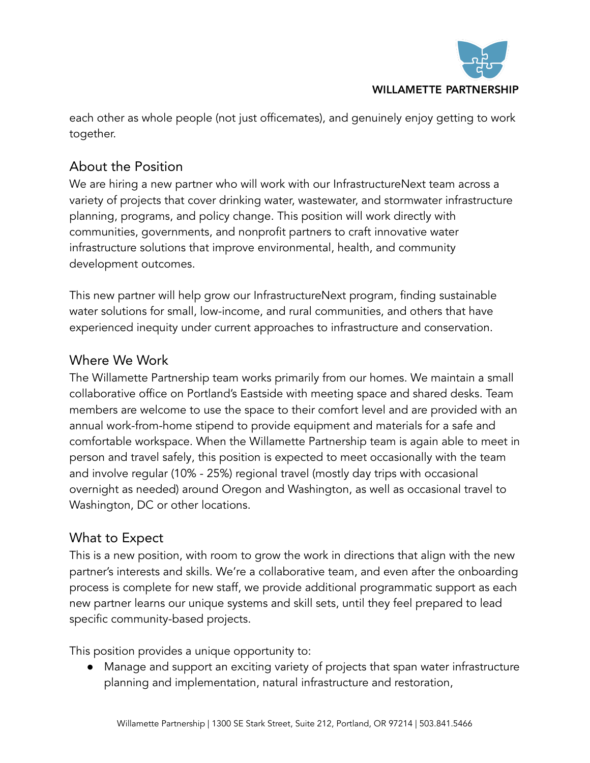

each other as whole people (not just officemates), and genuinely enjoy getting to work together.

## About the Position

We are hiring a new partner who will work with our [InfrastructureNext](https://willamettepartnership.org/water-infrastructure/) team across a variety of projects that cover drinking water, wastewater, and stormwater infrastructure planning, programs, and policy change. This position will work directly with communities, governments, and nonprofit partners to craft innovative water infrastructure solutions that improve environmental, health, and community development outcomes.

This new partner will help grow our InfrastructureNext program, finding sustainable water solutions for small, low-income, and rural communities, and others that have experienced inequity under current approaches to infrastructure and conservation.

## Where We Work

The Willamette Partnership team works primarily from our homes. We maintain a small collaborative office on Portland's Eastside with meeting space and shared desks. Team members are welcome to use the space to their comfort level and are provided with an annual work-from-home stipend to provide equipment and materials for a safe and comfortable workspace. When the Willamette Partnership team is again able to meet in person and travel safely, this position is expected to meet occasionally with the team and involve regular (10% - 25%) regional travel (mostly day trips with occasional overnight as needed) around Oregon and Washington, as well as occasional travel to Washington, DC or other locations.

### What to Expect

This is a new position, with room to grow the work in directions that align with the new partner's interests and skills. We're a collaborative team, and even after the onboarding process is complete for new staff, we provide additional programmatic support as each new partner learns our unique systems and skill sets, until they feel prepared to lead specific community-based projects.

This position provides a unique opportunity to:

● Manage and support an exciting variety of projects that span water infrastructure planning and implementation, natural infrastructure and restoration,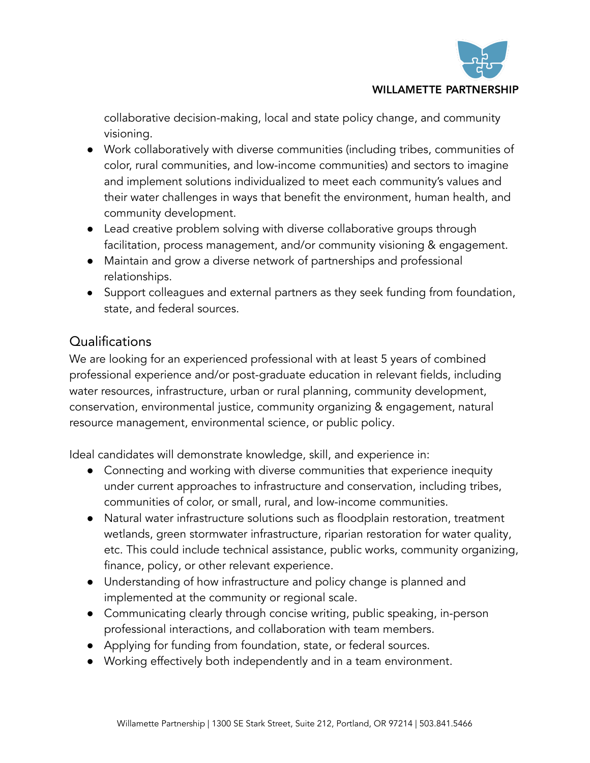

#### **WILLAMETTE PARTNERSHIP**

collaborative decision-making, local and state policy change, and community visioning.

- Work collaboratively with diverse communities (including tribes, communities of color, rural communities, and low-income communities) and sectors to imagine and implement solutions individualized to meet each community's values and their water challenges in ways that benefit the environment, human health, and community development.
- Lead creative problem solving with diverse collaborative groups through facilitation, process management, and/or community visioning & engagement.
- Maintain and grow a diverse network of partnerships and professional relationships.
- Support colleagues and external partners as they seek funding from foundation, state, and federal sources.

## **Qualifications**

We are looking for an experienced professional with at least 5 years of combined professional experience and/or post-graduate education in relevant fields, including water resources, infrastructure, urban or rural planning, community development, conservation, environmental justice, community organizing & engagement, natural resource management, environmental science, or public policy.

Ideal candidates will demonstrate knowledge, skill, and experience in:

- Connecting and working with diverse communities that experience inequity under current approaches to infrastructure and conservation, including tribes, communities of color, or small, rural, and low-income communities.
- Natural water infrastructure solutions such as floodplain restoration, treatment wetlands, green stormwater infrastructure, riparian restoration for water quality, etc. This could include technical assistance, public works, community organizing, finance, policy, or other relevant experience.
- Understanding of how infrastructure and policy change is planned and implemented at the community or regional scale.
- Communicating clearly through concise writing, public speaking, in-person professional interactions, and collaboration with team members.
- Applying for funding from foundation, state, or federal sources.
- Working effectively both independently and in a team environment.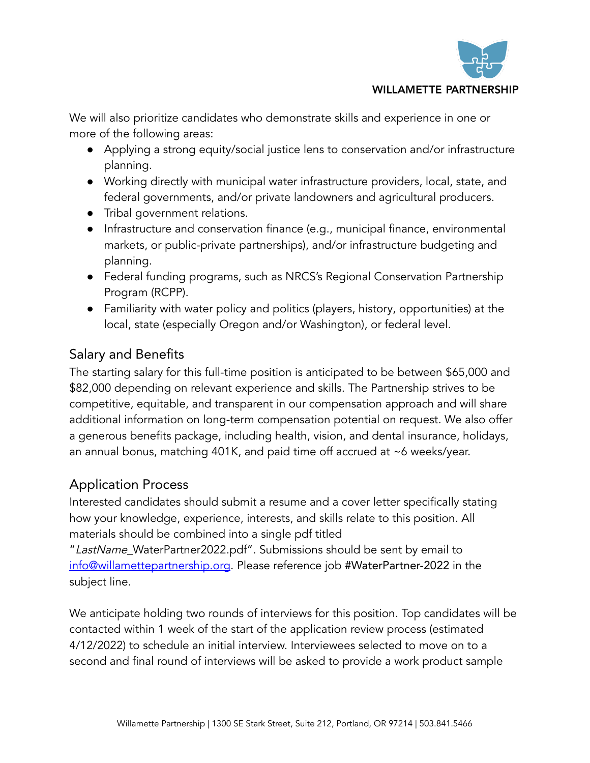

#### **WILLAMETTE PARTNERSHIP**

We will also prioritize candidates who demonstrate skills and experience in one or more of the following areas:

- Applying a strong equity/social justice lens to conservation and/or infrastructure planning.
- Working directly with municipal water infrastructure providers, local, state, and federal governments, and/or private landowners and agricultural producers.
- Tribal government relations.
- Infrastructure and conservation finance (e.g., municipal finance, environmental markets, or public-private partnerships), and/or infrastructure budgeting and planning.
- Federal funding programs, such as NRCS's Regional Conservation Partnership Program (RCPP).
- Familiarity with water policy and politics (players, history, opportunities) at the local, state (especially Oregon and/or Washington), or federal level.

## Salary and Benefits

The starting salary for this full-time position is anticipated to be between \$65,000 and \$82,000 depending on relevant experience and skills. The Partnership strives to be competitive, equitable, and transparent in our compensation approach and will share additional information on long-term compensation potential on request. We also offer a generous benefits package, including health, vision, and dental insurance, holidays, an annual bonus, matching 401K, and paid time off accrued at ~6 weeks/year.

## Application Process

Interested candidates should submit a resume and a cover letter specifically stating how your knowledge, experience, interests, and skills relate to this position. All materials should be combined into a single pdf titled

"LastName\_WaterPartner2022.pdf". Submissions should be sent by email to [info@willamettepartnership.org](mailto:info@willamettepartnership.org). Please reference job #WaterPartner-2022 in the subject line.

We anticipate holding two rounds of interviews for this position. Top candidates will be contacted within 1 week of the start of the application review process (estimated 4/12/2022) to schedule an initial interview. Interviewees selected to move on to a second and final round of interviews will be asked to provide a work product sample